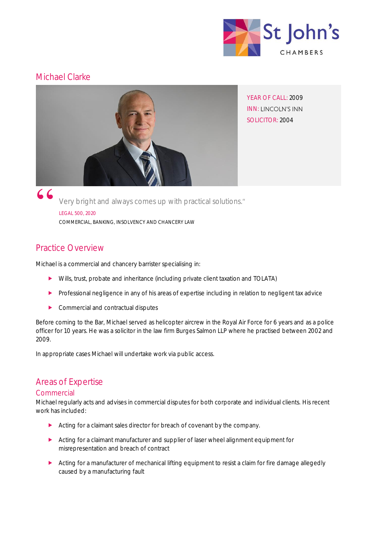

# Michael Clarke



YEAR OF CALL: 2009 INN: LINCOLN'S INN SOLICITOR: 2004

Very bright and always comes up with practical solutions. LEGAL 500, 2020 COMMERCIAL, BANKING, INSOLVENCY AND CHANCERY LAW

# Practice Overview

Michael is a commercial and chancery barrister specialising in:

- Wills, trust, probate and inheritance (including private client taxation and TOLATA)
- Professional negligence in any of his areas of expertise including in relation to negligent tax advice
- Commercial and contractual disputes

Before coming to the Bar, Michael served as helicopter aircrew in the Royal Air Force for 6 years and as a police officer for 10 years. He was a solicitor in the law firm Burges Salmon LLP where he practised between 2002 and 2009.

In appropriate cases Michael will undertake work via public access.

# Areas of Expertise

## **Commercial**

Michael regularly acts and advises in commercial disputes for both corporate and individual clients. His recent work has included:

- Acting for a claimant sales director for breach of covenant by the company.
- Acting for a claimant manufacturer and supplier of laser wheel alignment equipment for misrepresentation and breach of contract
- Acting for a manufacturer of mechanical lifting equipment to resist a claim for fire damage allegedly caused by a manufacturing fault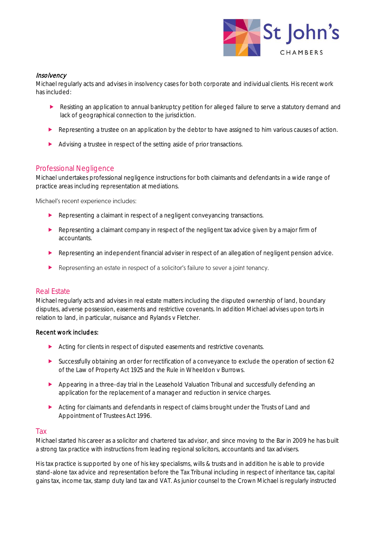

### **Insolvency**

Michael regularly acts and advises in insolvency cases for both corporate and individual clients. His recent work has included:

- Resisting an application to annual bankruptcy petition for alleged failure to serve a statutory demand and lack of geographical connection to the jurisdiction.
- Representing a trustee on an application by the debtor to have assigned to him various causes of action.
- Advising a trustee in respect of the setting aside of prior transactions.

## Professional Negligence

Michael undertakes professional negligence instructions for both claimants and defendants in a wide range of practice areas including representation at mediations.

Michael's recent experience includes:

- Representing a claimant in respect of a negligent conveyancing transactions.
- Representing a claimant company in respect of the negligent tax advice given by a major firm of accountants.
- Representing an independent financial adviser in respect of an allegation of negligent pension advice.
- $\blacktriangleright$ Representing an estate in respect of a solicitor's failure to sever a joint tenancy.

## Real Estate

Michael regularly acts and advises in real estate matters including the disputed ownership of land, boundary disputes, adverse possession, easements and restrictive covenants. In addition Michael advises upon torts in relation to land, in particular, nuisance and Rylands v Fletcher.

#### Recent work includes:

- Acting for clients in respect of disputed easements and restrictive covenants.
- Successfully obtaining an order for rectification of a conveyance to exclude the operation of section 62 of the Law of Property Act 1925 and the Rule in Wheeldon v Burrows.
- Appearing in a three-day trial in the Leasehold Valuation Tribunal and successfully defending an application for the replacement of a manager and reduction in service charges.
- Acting for claimants and defendants in respect of claims brought under the Trusts of Land and Appointment of Trustees Act 1996.

#### Tax

Michael started his career as a solicitor and chartered tax advisor, and since moving to the Bar in 2009 he has built a strong tax practice with instructions from leading regional solicitors, accountants and tax advisers.

His tax practice is supported by one of his key specialisms, wills & trusts and in addition he is able to provide stand-alone tax advice and representation before the Tax Tribunal including in respect of inheritance tax, capital gains tax, income tax, stamp duty land tax and VAT. As junior counsel to the Crown Michael is regularly instructed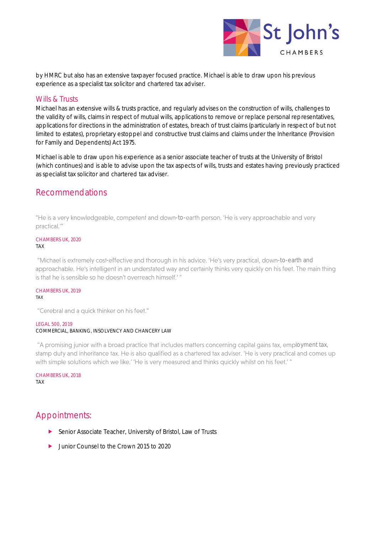

by HMRC but also has an extensive taxpayer focused practice. Michael is able to draw upon his previous experience as a specialist tax solicitor and chartered tax adviser.

#### Wills & Trusts

Michael has an extensive wills & trusts practice, and regularly advises on the construction of wills, challenges to the validity of wills, claims in respect of mutual wills, applications to remove or replace personal representatives, applications for directions in the administration of estates, breach of trust claims (particularly in respect of but not limited to estates), proprietary estoppel and constructive trust claims and claims under the Inheritance (Provision for Family and Dependents) Act 1975.

Michael is able to draw upon his experience as a senior associate teacher of trusts at the University of Bristol (which continues) and is able to advise upon the tax aspects of wills, trusts and estates having previously practiced as specialist tax solicitor and chartered tax adviser.

## Recommendations

"He is a very knowledgeable, competent and down-to-earth person. 'He is very approachable and very practical."

## CHAMBERS UK, 2020

TAX

"Michael is extremely cost-effective and thorough in his advice. 'He's very practical, down-to-earth and approachable. He's intelligent in an understated way and certainly thinks very quickly on his feet. The main thing is that he is sensible so he doesn't overreach himself.'"

#### CHAMBERS UK, 2019 TAX

"Cerebral and a quick thinker on his feet."

#### LEGAL 500, 2019 COMMERCIAL, BANKING, INSOLVENCY AND CHANCERY LAW

"A promising junior with a broad practice that includes matters concerning capital gains tax, employment tax, stamp duty and inheritance tax. He is also qualified as a chartered tax adviser. 'He is very practical and comes up with simple solutions which we like.' 'He is very measured and thinks quickly whilst on his feet.' "

CHAMBERS UK, 2018 TAX

# Appointments:

- ▶ Senior Associate Teacher, University of Bristol, Law of Trusts
- **D** Junior Counsel to the Crown 2015 to 2020